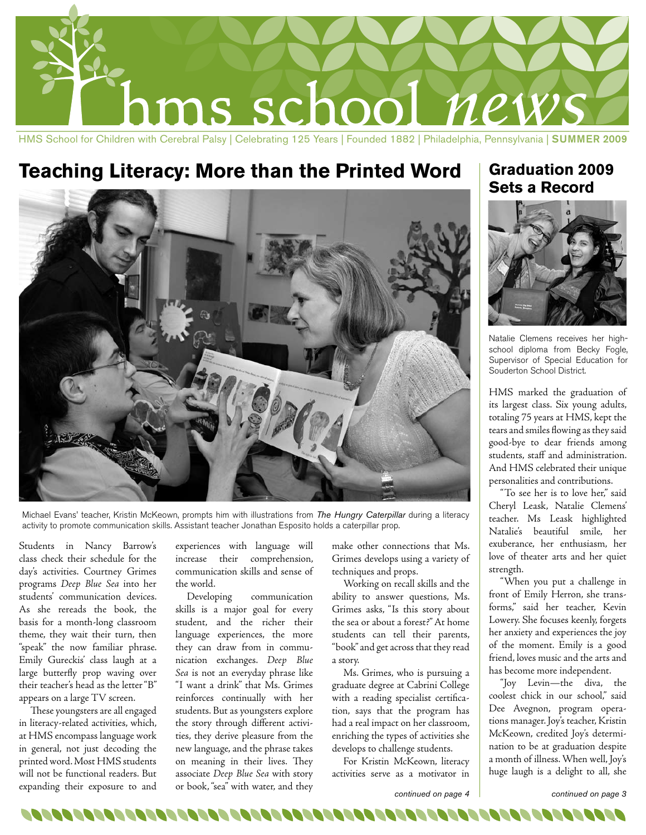

## **Teaching Literacy: More than the Printed Word Graduation 2009**



Michael Evans' teacher, Kristin McKeown, prompts him with illustrations from *The Hungry Caterpillar* during a literacy activity to promote communication skills. Assistant teacher Jonathan Esposito holds a caterpillar prop.

Students in Nancy Barrow's class check their schedule for the day's activities. Courtney Grimes programs *Deep Blue Sea* into her students' communication devices. As she rereads the book, the basis for a month-long classroom theme, they wait their turn, then "speak" the now familiar phrase. Emily Gureckis' class laugh at a large butterfly prop waving over their teacher's head as the letter "B" appears on a large TV screen.

These youngsters are all engaged in literacy-related activities, which, at HMS encompass language work in general, not just decoding the printed word. Most HMS students will not be functional readers. But expanding their exposure to and

experiences with language will increase their comprehension, communication skills and sense of the world.

Developing communication skills is a major goal for every student, and the richer their language experiences, the more they can draw from in communication exchanges. *Deep Blue Sea* is not an everyday phrase like "I want a drink" that Ms. Grimes reinforces continually with her students. But as youngsters explore the story through different activities, they derive pleasure from the new language, and the phrase takes on meaning in their lives. They associate *Deep Blue Sea* with story or book, "sea" with water, and they

make other connections that Ms. Grimes develops using a variety of techniques and props.

Working on recall skills and the ability to answer questions, Ms. Grimes asks, "Is this story about the sea or about a forest?" At home students can tell their parents, "book" and get across that they read a story.

Ms. Grimes, who is pursuing a graduate degree at Cabrini College with a reading specialist certification, says that the program has had a real impact on her classroom, enriching the types of activities she develops to challenge students.

For Kristin McKeown, literacy activities serve as a motivator in

# **Sets a Record**



Natalie Clemens receives her highschool diploma from Becky Fogle, Supervisor of Special Education for Souderton School District.

HMS marked the graduation of its largest class. Six young adults, totaling 75 years at HMS, kept the tears and smiles flowing as they said good-bye to dear friends among students, staff and administration. And HMS celebrated their unique personalities and contributions.

"To see her is to love her," said Cheryl Leask, Natalie Clemens' teacher. Ms Leask highlighted Natalie's beautiful smile, her exuberance, her enthusiasm, her love of theater arts and her quiet strength.

"When you put a challenge in front of Emily Herron, she transforms," said her teacher, Kevin Lowery. She focuses keenly, forgets her anxiety and experiences the joy of the moment. Emily is a good friend, loves music and the arts and has become more independent.

"Joy Levin—the diva, the coolest chick in our school," said Dee Avegnon, program operations manager. Joy's teacher, Kristin McKeown, credited Joy's determination to be at graduation despite a month of illness. When well, Joy's huge laugh is a delight to all, she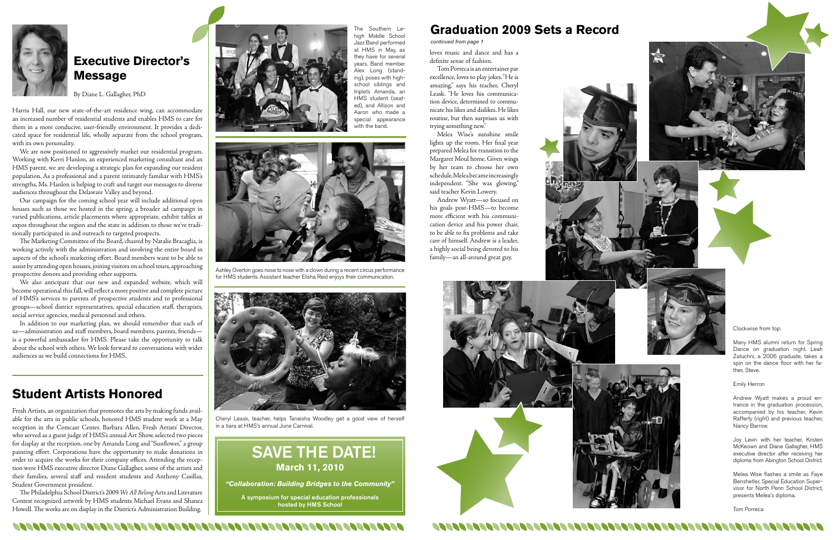

### **Executive Director's Message**

By Diane L. Gallagher, PhD

Harris Hall, our new state-of-the-art residence wing, can accommodate an increased number of residential students and enables HMS to care for them in a more conducive, user-friendly environment. It provides a dedicated space for residential life, wholly separate from the school program, with its own personality.

We are now positioned to aggressively market our residential program. Working with Kerri Hanlon, an experienced marketing consultant and an HMS parent, we are developing a strategic plan for expanding our resident population. As a professional and a parent intimately familiar with HMS's strengths, Ms. Hanlon is helping to craft and target our messages to diverse audiences throughout the Delaware Valley and beyond.

Our campaign for the coming school year will include additional open houses such as those we hosted in the spring, a broader ad campaign in varied publications, article placements where appropriate, exhibit tables at expos throughout the region and the state in addition to those we've traditionally participated in and outreach to targeted prospects.

The Marketing Committee of the Board, chaired by Natalie Bracaglia, is working actively with the administration and involving the entire board in aspects of the school's marketing effort. Board members want to be able to assist by attending open houses, joining visitors on school tours, approaching prospective donors and providing other supports.

We also anticipate that our new and expanded website, which will become operational this fall, will reflect a more positive and complete picture of HMS's services to parents of prospective students and to professional groups—school district representatives, special education staff, therapists, social service agencies, medical personnel and others.

In addition to our marketing plan, we should remember that each of us—administration and staff members, board members, parents, friends is a powerful ambassador for HMS. Please take the opportunity to talk about the school with others. We look forward to conversations with wider audiences as we build connections for HMS.

### **Student Artists Honored**

Fresh Artists, an organization that promotes the arts by making funds available for the arts in public schools, honored HMS student work at a May reception in the Comcast Center. Barbara Allen, Fresh Artists' Director, who served as a guest judge of HMS's annual Art Show, selected two pieces for display at the reception, one by Amanda Long and "Sunflower," a group painting effort. Corporations have the opportunity to make donations in order to acquire the works for their company offices. Attending the reception were HMS executive director Diane Gallagher, some of the artists and their families, several staff and resident students and Anthony Casillas, Student Government president.

The Southern Lehigh Middle School Jazz Band performed at HMS in May, as they have for several years. Band member Alex Long (standing), poses with highschool siblings and triplets Amanda, an HMS student (seated), and Allison and Aaron who made a special appearance with the band.

The Philadelphia School District's 2009 *We All Belong* Arts and Literature Contest recognized artwork by HMS students Michael Evans and Shanea Howell. The works are on display in the District's Administration Building.



## SAVE THE DATE! **March 11, 2010**

*"Collaboration: Building Bridges to the Community"*

A symposium for special education professionals hosted by HMS School

loves music and dance and has a definite sense of fashion.

Tom Porreca is an entertainer par excellence, loves to play jokes. "He is amazing," says his teacher, Cheryl Leask. "He loves his communication device, determined to communicate his likes and dislikes. He likes routine, but then surprises us with trying something new."

Melea Wise's sunshine smile lights up the room. Her final year prepared Melea for transition to the Margaret Moul home. Given wings by her team to choose her own schedule, Melea became increasingly independent. "She was glowing," said teacher Kevin Lowery.

Andrew Wyatt—so focused on his goals post-HMS—to become more efficient with his communication device and his power chair, to be able to fix problems and take care of himself. Andrew is a leader, a highly social being devoted to his family—an all-around great guy.







## **Graduation 2009 Sets a Record**

Clockwise from top:

Many HMS alumni return for Spring Dance on graduation night. Leah Zatuchni, a 2006 graduate, takes a spin on the dance floor with her father, Steve.

Emily Herron

Andrew Wyatt makes a proud entrance in the graduation procession, accompanied by his teacher, Kevin Rafferty (right) and previous teacher, Nancy Barrow.

Joy Levin with her teacher, Kristen McKeown and Diane Gallagher, HMS executive director after receiving her diploma from Abington School District.

Melea Wise flashes a smile as Faye Benshetler, Special Education Supervisor for North Penn School District, presents Melea's diploma.

Tom Porreca



*continued from page 1*

Ashley Overton goes nose to nose with a clown during a recent circus performance for HMS students. Assistant teacher Elisha Reid enjoys their communication.



Cheryl Leask, teacher, helps Taneisha Woodley get a good view of herself in a tiara at HMS's annual June Carnival.